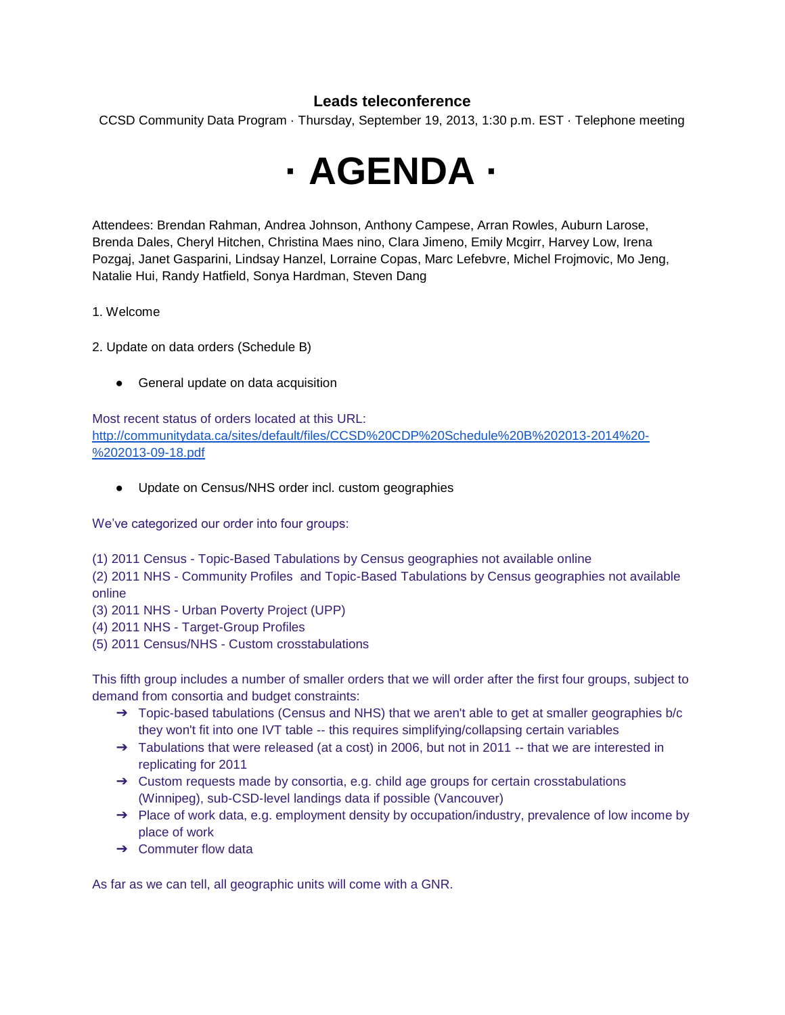## **Leads teleconference**

CCSD Community Data Program · Thursday, September 19, 2013, 1:30 p.m. EST · Telephone meeting



Attendees: Brendan Rahman, Andrea Johnson, Anthony Campese, Arran Rowles, Auburn Larose, Brenda Dales, Cheryl Hitchen, Christina Maes nino, Clara Jimeno, Emily Mcgirr, Harvey Low, Irena Pozgaj, Janet Gasparini, Lindsay Hanzel, Lorraine Copas, Marc Lefebvre, Michel Frojmovic, Mo Jeng, Natalie Hui, Randy Hatfield, Sonya Hardman, Steven Dang

1. Welcome

- 2. Update on data orders (Schedule B)
	- General update on data acquisition

Most recent status of orders located at this URL: [http://communitydata.ca/sites/default/files/CCSD%20CDP%20Schedule%20B%202013-2014%20-](http://communitydata.ca/sites/default/files/CCSD%20CDP%20Schedule%20B%202013-2014%20-%202013-09-18.pdf) [%202013-09-18.pdf](http://communitydata.ca/sites/default/files/CCSD%20CDP%20Schedule%20B%202013-2014%20-%202013-09-18.pdf)

● Update on Census/NHS order incl. custom geographies

We've categorized our order into four groups:

(1) 2011 Census - Topic-Based Tabulations by Census geographies not available online

(2) 2011 NHS - Community Profiles and Topic-Based Tabulations by Census geographies not available online

- (3) 2011 NHS Urban Poverty Project (UPP)
- (4) 2011 NHS Target-Group Profiles
- (5) 2011 Census/NHS Custom crosstabulations

This fifth group includes a number of smaller orders that we will order after the first four groups, subject to demand from consortia and budget constraints:

- $\rightarrow$  Topic-based tabulations (Census and NHS) that we aren't able to get at smaller geographies b/c they won't fit into one IVT table -- this requires simplifying/collapsing certain variables
- ➔ Tabulations that were released (at a cost) in 2006, but not in 2011 -- that we are interested in replicating for 2011
- ➔ Custom requests made by consortia, e.g. child age groups for certain crosstabulations (Winnipeg), sub-CSD-level landings data if possible (Vancouver)
- ➔ Place of work data, e.g. employment density by occupation/industry, prevalence of low income by place of work
- $\rightarrow$  Commuter flow data

As far as we can tell, all geographic units will come with a GNR.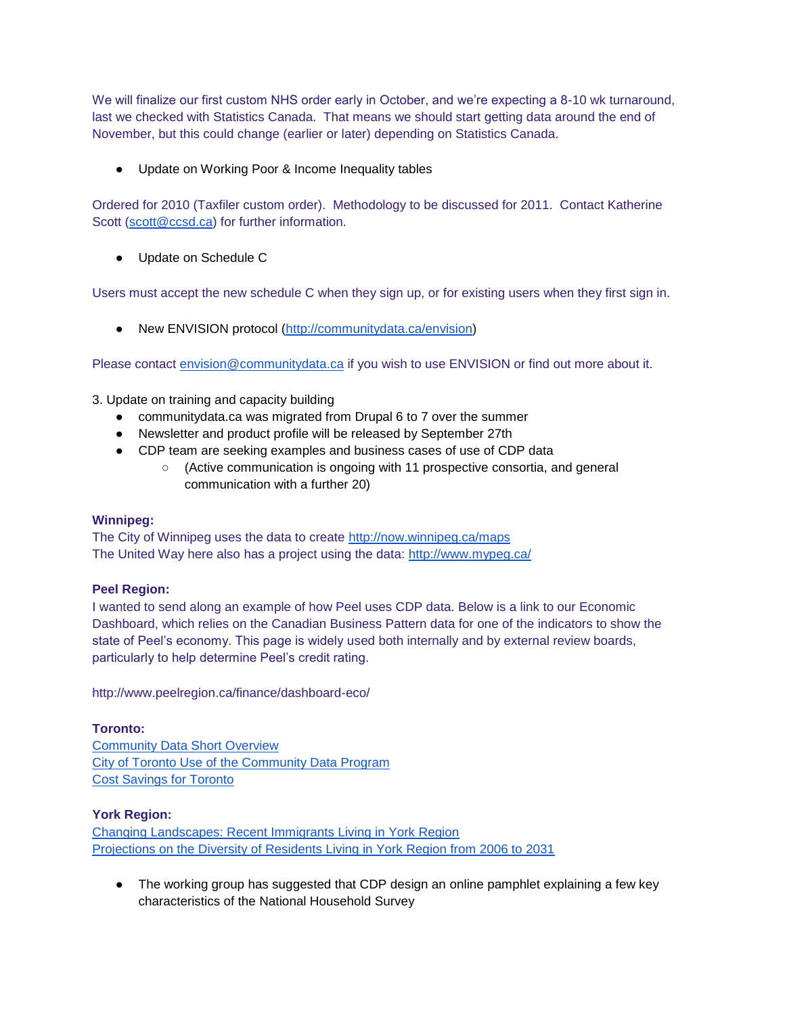We will finalize our first custom NHS order early in October, and we're expecting a 8-10 wk turnaround, last we checked with Statistics Canada. That means we should start getting data around the end of November, but this could change (earlier or later) depending on Statistics Canada.

● Update on Working Poor & Income Inequality tables

Ordered for 2010 (Taxfiler custom order). Methodology to be discussed for 2011. Contact Katherine Scott [\(scott@ccsd.ca\)](mailto:scott@ccsd.ca) for further information.

● Update on Schedule C

Users must accept the new schedule C when they sign up, or for existing users when they first sign in.

● New ENVISION protocol [\(http://communitydata.ca/envision\)](http://communitydata.ca/envision)

Please contact [envision@communitydata.ca](mailto:envision@communitydata.ca) if you wish to use ENVISION or find out more about it.

- 3. Update on training and capacity building
	- communitydata.ca was migrated from Drupal 6 to 7 over the summer
	- Newsletter and product profile will be released by September 27th
	- CDP team are seeking examples and business cases of use of CDP data
		- (Active communication is ongoing with 11 prospective consortia, and general communication with a further 20)

## **Winnipeg:**

The City of Winnipeg uses the data to create<http://now.winnipeg.ca/maps> The United Way here also has a project using the data:<http://www.mypeg.ca/>

## **Peel Region:**

I wanted to send along an example of how Peel uses CDP data. Below is a link to our Economic Dashboard, which relies on the Canadian Business Pattern data for one of the indicators to show the state of Peel's economy. This page is widely used both internally and by external review boards, particularly to help determine Peel's credit rating.

http://www.peelregion.ca/finance/dashboard-eco/

## **Toronto:**

[Community Data Short Overview](http://communitydata.ca/sites/default/files/Community%20Data%20Short%20Overview.pdf) [City of Toronto Use of the Community Data Program](http://communitydata.ca/sites/default/files/City%20of%20Toronto%20Use%20of%20the%20Community%20Data%20Program.pdf) [Cost Savings for Toronto](http://communitydata.ca/sites/default/files/CDP%20Cost%20Savings%20for%20Toronto.pdf)

## **York Region:**

[Changing Landscapes: Recent Immigrants Living in York Region](http://www.york.ca/Departments/Community+Services+and+Housing/changinglandscapes.htm) [Projections on the Diversity of Residents Living in York Region from 2006 to 2031](http://www.york.ca/Departments/Community+Services+and+Housing/diversityfactsheet.htm)

• The working group has suggested that CDP design an online pamphlet explaining a few key characteristics of the National Household Survey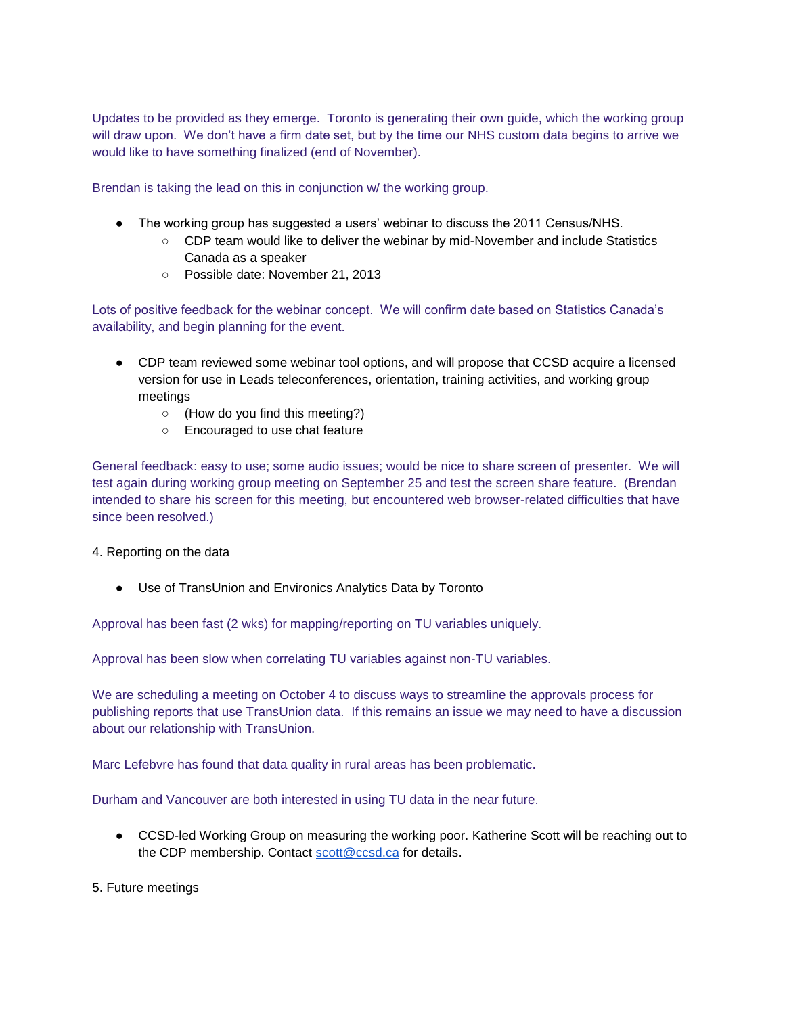Updates to be provided as they emerge. Toronto is generating their own guide, which the working group will draw upon. We don't have a firm date set, but by the time our NHS custom data begins to arrive we would like to have something finalized (end of November).

Brendan is taking the lead on this in conjunction w/ the working group.

- The working group has suggested a users' webinar to discuss the 2011 Census/NHS.
	- CDP team would like to deliver the webinar by mid-November and include Statistics Canada as a speaker
	- Possible date: November 21, 2013

Lots of positive feedback for the webinar concept. We will confirm date based on Statistics Canada's availability, and begin planning for the event.

- CDP team reviewed some webinar tool options, and will propose that CCSD acquire a licensed version for use in Leads teleconferences, orientation, training activities, and working group meetings
	- (How do you find this meeting?)
	- Encouraged to use chat feature

General feedback: easy to use; some audio issues; would be nice to share screen of presenter. We will test again during working group meeting on September 25 and test the screen share feature. (Brendan intended to share his screen for this meeting, but encountered web browser-related difficulties that have since been resolved.)

#### 4. Reporting on the data

● Use of TransUnion and Environics Analytics Data by Toronto

Approval has been fast (2 wks) for mapping/reporting on TU variables uniquely.

Approval has been slow when correlating TU variables against non-TU variables.

We are scheduling a meeting on October 4 to discuss ways to streamline the approvals process for publishing reports that use TransUnion data. If this remains an issue we may need to have a discussion about our relationship with TransUnion.

Marc Lefebvre has found that data quality in rural areas has been problematic.

Durham and Vancouver are both interested in using TU data in the near future.

● CCSD-led Working Group on measuring the working poor. Katherine Scott will be reaching out to the CDP membership. Contact [scott@ccsd.ca](mailto:scott@ccsd.ca) for details.

5. Future meetings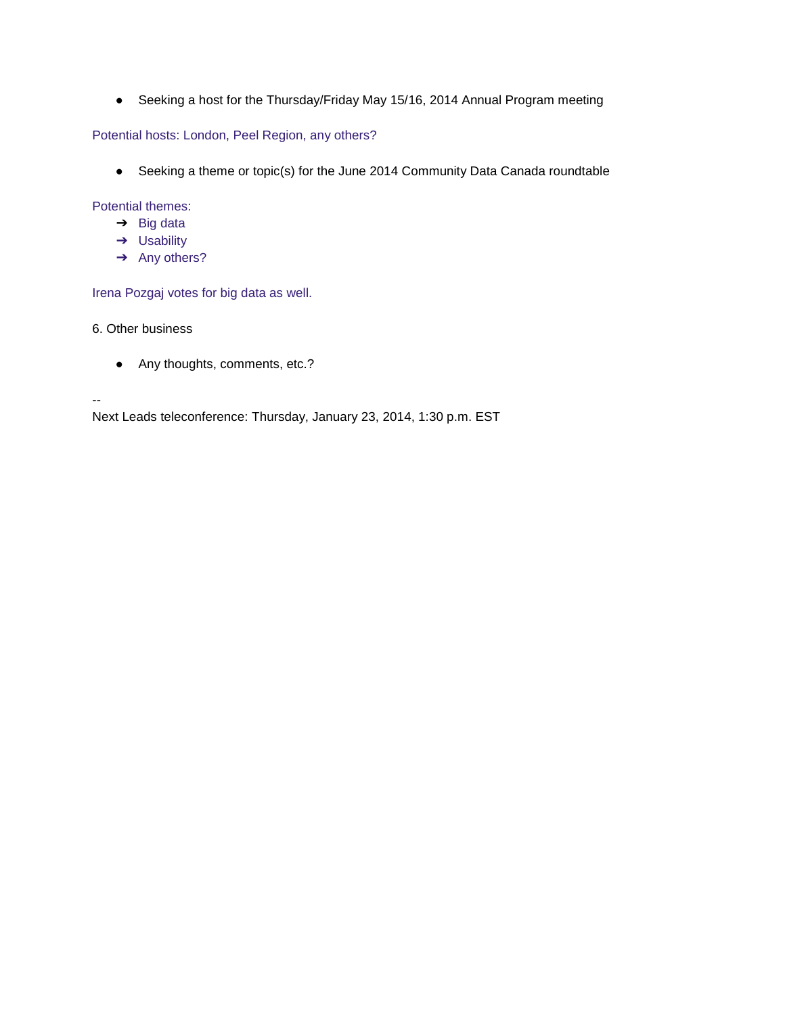● Seeking a host for the Thursday/Friday May 15/16, 2014 Annual Program meeting

Potential hosts: London, Peel Region, any others?

● Seeking a theme or topic(s) for the June 2014 Community Data Canada roundtable

Potential themes:

- $\rightarrow$  Big data
- ➔ Usability
- → Any others?

Irena Pozgaj votes for big data as well.

6. Other business

--

● Any thoughts, comments, etc.?

Next Leads teleconference: Thursday, January 23, 2014, 1:30 p.m. EST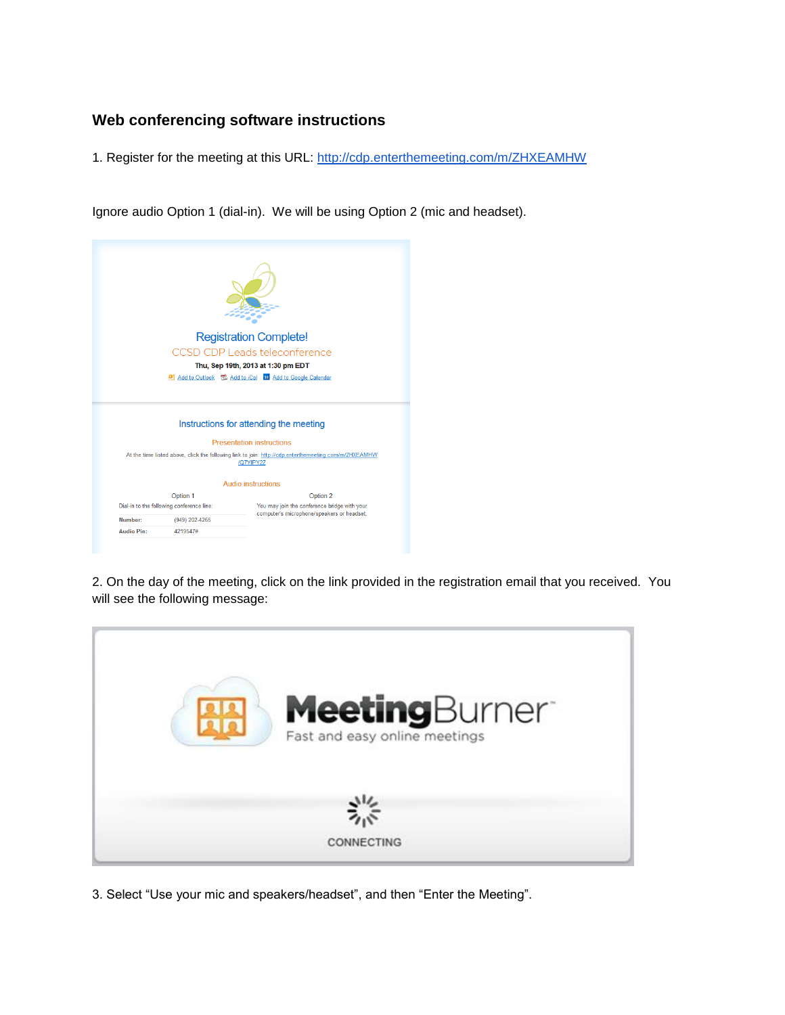# **Web conferencing software instructions**

1. Register for the meeting at this URL:<http://cdp.enterthemeeting.com/m/ZHXEAMHW>

Ignore audio Option 1 (dial-in). We will be using Option 2 (mic and headset).

|         |                                                             | <b>Registration Complete!</b>                                                                                      |
|---------|-------------------------------------------------------------|--------------------------------------------------------------------------------------------------------------------|
|         |                                                             | CCSD CDP Leads teleconference                                                                                      |
|         |                                                             | Thu, Sep 19th, 2013 at 1:30 pm EDT                                                                                 |
|         |                                                             | <b>O</b> Add to Outlook <b>D</b> Add to iCal <b>BI</b> Add to Google Calendar                                      |
|         |                                                             |                                                                                                                    |
|         |                                                             | Instructions for attending the meeting                                                                             |
|         |                                                             | <b>Presentation instructions</b>                                                                                   |
|         |                                                             | At the time listed above, click the following link to join: http://cdp.enterthemeeting.com/m/ZHXEAMHW<br>/Q7YIPY2Z |
|         |                                                             | <b>Audio instructions</b>                                                                                          |
|         | Option 1                                                    | Option 2                                                                                                           |
| Number: | Dial-in to the following conference line:<br>(949) 202-4265 | You may join the conference bridge with your<br>computer's microphone/speakers or headset.                         |

2. On the day of the meeting, click on the link provided in the registration email that you received. You will see the following message:



3. Select "Use your mic and speakers/headset", and then "Enter the Meeting".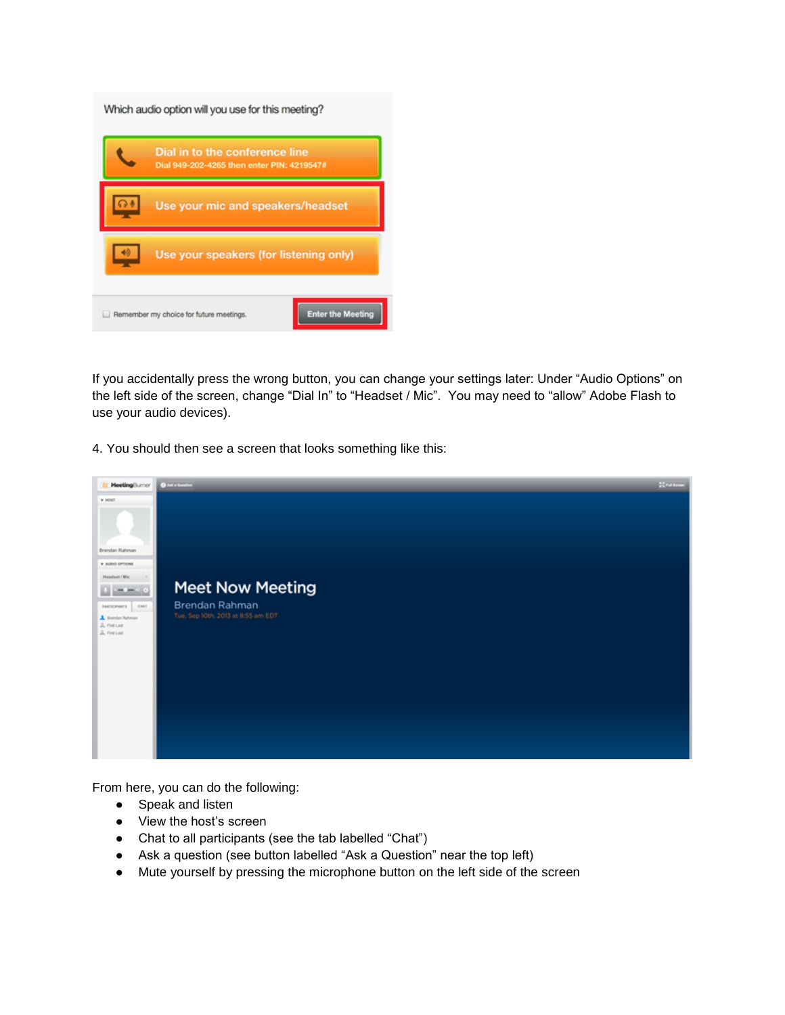| Which audio option will you use for this meeting?<br>Dial in to the conference line<br>Dial 949-202-4265 then enter PIN: 4219547# |
|-----------------------------------------------------------------------------------------------------------------------------------|
| Use your mic and speakers/headset                                                                                                 |
| Use your speakers (for listening only)                                                                                            |
| <b>Enter the Meeting</b><br>Remember my choice for future meetings.                                                               |

If you accidentally press the wrong button, you can change your settings later: Under "Audio Options" on the left side of the screen, change "Dial In" to "Headset / Mic". You may need to "allow" Adobe Flash to use your audio devices).

4. You should then see a screen that looks something like this:



From here, you can do the following:

- Speak and listen
- View the host's screen
- Chat to all participants (see the tab labelled "Chat")
- Ask a question (see button labelled "Ask a Question" near the top left)
- Mute yourself by pressing the microphone button on the left side of the screen